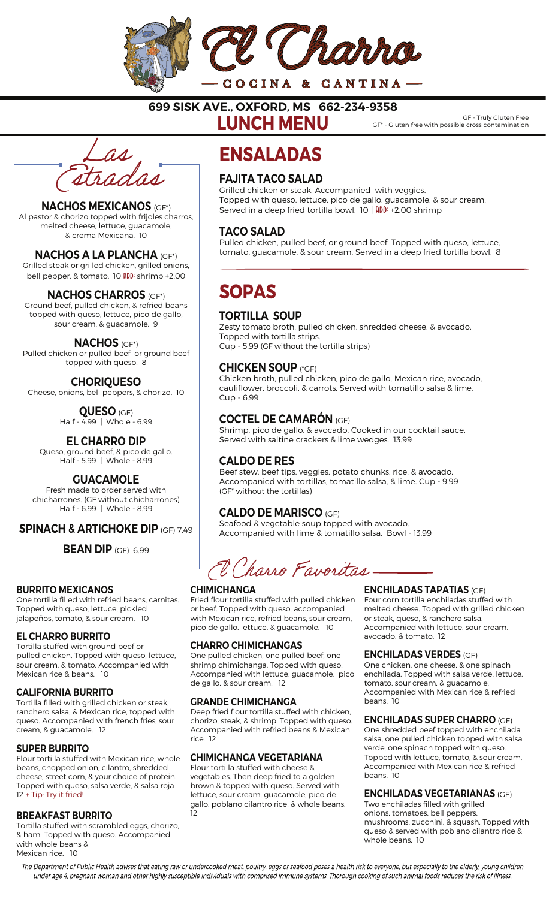

699 SISK AVE., OXFORD, MS 662-234-9358

LUNCH MENU

GF - Truly Gluten Free GF\* - Gluten free with possible cross contamination



#### NACHOS MEXICANOS (GF\*) Al pastor & chorizo topped with frijoles charros,

melted cheese, lettuce, guacamole, & crema Mexicana. 10

NACHOS A LA PLANCHA (GF\*) Grilled steak or grilled chicken, grilled onions,

bell pepper, & tomato. 10 **ADD:** shrimp +2.00

## NACHOS CHARROS (GF\*)

Ground beef, pulled chicken, & refried beans topped with queso, lettuce, pico de gallo, sour cream, & guacamole. 9

NACHOS (GF\*) Pulled chicken or pulled beef or ground beef topped with queso. 8

**CHORIQUESO** Cheese, onions, bell peppers, & chorizo. 10

> QUESO (GF) Half - 4.99 | Whole - 6.99

EL CHARRO DIP Queso, ground beef, & pico de gallo. Half - 5.99 | Whole - 8.99

# **GUACAMOLE**

Fresh made to order served with chicharrones. (GF without chicharrones) Half - 6.99 | Whole - 8.99

SPINACH & ARTICHOKE DIP (GF) 7.49

**BEAN DIP** (GF) 6.99

#### BURRITO MEXICANOS

One tortilla filled with refried beans, carnitas. Topped with queso, lettuce, pickled jalapeños, tomato, & sour cream. 10

#### EL CHARRO BURRITO

Tortilla stuffed with ground beef or pulled chicken. Topped with queso, lettuce, sour cream, & tomato. Accompanied with Mexican rice & beans. 10

#### CALIFORNIA BURRITO

Tortilla filled with grilled chicken or steak, ranchero salsa, & Mexican rice, topped with queso. Accompanied with french fries, sour cream, & guacamole. 12

#### SUPER BURRITO

Flour tortilla stuffed with Mexican rice, whole beans, chopped onion, cilantro, shredded cheese, street corn, & your choice of protein. Topped with queso, salsa verde, & salsa roja 12 + Tip: Try it fried!

#### BREAKFAST BURRITO

Tortilla stuffed with scrambled eggs, chorizo, & ham. Topped with queso. Accompanied with whole beans & Mexican rice. 10

# **ENSALADAS**

# FAJITA TACO SALAD

Grilled chicken or steak. Accompanied with veggies. Topped with queso, lettuce, pico de gallo, guacamole, & sour cream. Served in a deep fried tortilla bowl. 10 | **ADD:** +2.00 shrimp

## TACO SALAD

Pulled chicken, pulled beef, or ground beef. Topped with queso, lettuce, tomato, guacamole, & sour cream. Served in a deep fried tortilla bowl. 8

# SOPAS

## TORTILLA SOUP

Zesty tomato broth, pulled chicken, shredded cheese, & avocado. Topped with tortilla strips. Cup - 5.99 (GF without the tortilla strips)

### CHICKEN SOUP (\*GF)

Chicken broth, pulled chicken, pico de gallo, Mexican rice, avocado, cauliflower, broccoli, & carrots. Served with tomatillo salsa & lime. Cup - 6.99

# COCTEL DE CAMARÓN (GF)

Shrimp, pico de gallo, & avocado. Cooked in our cocktail sauce. Served with saltine crackers & lime wedges. 13.99

## CALDO DE RES

Beef stew, beef tips, veggies, potato chunks, rice, & avocado. Accompanied with tortillas, tomatillo salsa, & lime. Cup - 9.99 (GF\* without the tortillas)

## CALDO DE MARISCO (GF)

Seafood & vegetable soup topped with avocado. Accompanied with lime & tomatillo salsa. Bowl - 13.99

El Charro Favoritas

#### **CHIMICHANGA**

Fried flour tortilla stuffed with pulled chicken or beef. Topped with queso, accompanied with Mexican rice, refried beans, sour cream, pico de gallo, lettuce, & guacamole. 10

#### CHARRO CHIMICHANGAS

One pulled chicken, one pulled beef, one shrimp chimichanga. Topped with queso. Accompanied with lettuce, guacamole, pico de gallo, & sour cream. 12

#### GRANDE CHIMICHANGA

Deep fried flour tortilla stuffed with chicken, chorizo, steak, & shrimp. Topped with queso. Accompanied with refried beans & Mexican rice. 12

#### CHIMICHANGA VEGETARIANA

Flour tortilla stuffed with cheese & vegetables. Then deep fried to a golden brown & topped with queso. Served with lettuce, sour cream, guacamole, pico de gallo, poblano cilantro rice, & whole beans. 12

#### ENCHILADAS TAPATIAS (GF)

Four corn tortilla enchiladas stuffed with melted cheese. Topped with grilled chicken or steak, queso, & ranchero salsa. Accompanied with lettuce, sour cream, avocado, & tomato. 12

#### ENCHILADAS VERDES (GF)

One chicken, one cheese, & one spinach enchilada. Topped with salsa verde, lettuce, tomato, sour cream, & guacamole. Accompanied with Mexican rice & refried beans. 10

#### ENCHILADAS SUPER CHARRO (GF)

One shredded beef topped with enchilada salsa, one pulled chicken topped with salsa verde, one spinach topped with queso. Topped with lettuce, tomato, & sour cream. Accompanied with Mexican rice & refried beans. 10

#### ENCHILADAS VEGETARIANAS (GF)

Two enchiladas filled with grilled onions, tomatoes, bell peppers, mushrooms, zucchini, & squash. Topped with queso & served with poblano cilantro rice & whole beans. 10

The Department of Public Health advises that eating raw or undercooked meat, poultry, eggs or seafood poses a health risk to everyone, but especially to the elderly, young children under age 4, pregnant woman and other highly susceptible individuals with comprised immune systems. Thorough cooking of such animal foods reduces the risk of illness.